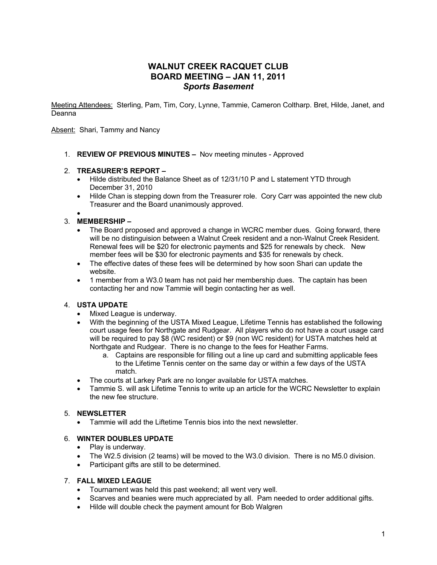# **WALNUT CREEK RACQUET CLUB BOARD MEETING – JAN 11, 2011** *Sports Basement*

Meeting Attendees: Sterling, Pam, Tim, Cory, Lynne, Tammie, Cameron Coltharp. Bret, Hilde, Janet, and Deanna

Absent: Shari, Tammy and Nancy

1. **REVIEW OF PREVIOUS MINUTES –** Nov meeting minutes - Approved

### 2. **TREASURER'S REPORT –**

- Hilde distributed the Balance Sheet as of 12/31/10 P and L statement YTD through December 31, 2010
- Hilde Chan is stepping down from the Treasurer role. Cory Carr was appointed the new club Treasurer and the Board unanimously approved.

#### • 3. **MEMBERSHIP –**

- The Board proposed and approved a change in WCRC member dues. Going forward, there will be no distinguision between a Walnut Creek resident and a non-Walnut Creek Resident. Renewal fees will be \$20 for electronic payments and \$25 for renewals by check. New member fees will be \$30 for electronic payments and \$35 for renewals by check.
- The effective dates of these fees will be determined by how soon Shari can update the website.
- 1 member from a W3.0 team has not paid her membership dues. The captain has been contacting her and now Tammie will begin contacting her as well.

## 4. **USTA UPDATE**

- Mixed League is underway.
- With the beginning of the USTA Mixed League, Lifetime Tennis has established the following court usage fees for Northgate and Rudgear. All players who do not have a court usage card will be required to pay \$8 (WC resident) or \$9 (non WC resident) for USTA matches held at Northgate and Rudgear. There is no change to the fees for Heather Farms.
	- a. Captains are responsible for filling out a line up card and submitting applicable fees to the Lifetime Tennis center on the same day or within a few days of the USTA match.
- The courts at Larkey Park are no longer available for USTA matches.
- Tammie S. will ask Lifetime Tennis to write up an article for the WCRC Newsletter to explain the new fee structure.

#### 5. **NEWSLETTER**

• Tammie will add the Liftetime Tennis bios into the next newsletter.

### 6. **WINTER DOUBLES UPDATE**

- Play is underway.
- The W2.5 division (2 teams) will be moved to the W3.0 division. There is no M5.0 division.
- Participant gifts are still to be determined.

#### 7. **FALL MIXED LEAGUE**

- Tournament was held this past weekend; all went very well.
- Scarves and beanies were much appreciated by all. Pam needed to order additional gifts.
- Hilde will double check the payment amount for Bob Walgren